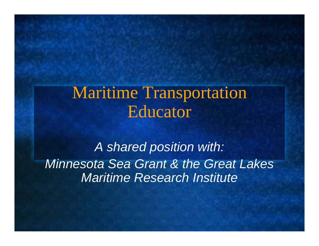# Maritime Transportation **Educator**

*A shared position with: Minnesota Sea Grant & the Great Lakes Maritime Research Institute*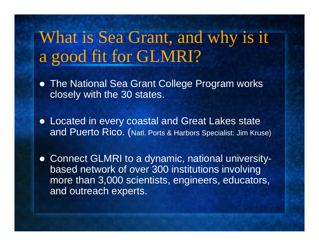# What is Sea Grant, and why is it a good fit for GLMRI?

- The National Sea Grant College Program works closely with the 30 states.
- Located in every coastal and Great Lakes state and Puerto Rico. (Natl. Ports & Harbors Specialist: Jim Kruse)
- Connect GLMRI to a dynamic, national universitybased network of over 300 institutions involving more than 3,000 scientists, engineers, educators, and outreach experts.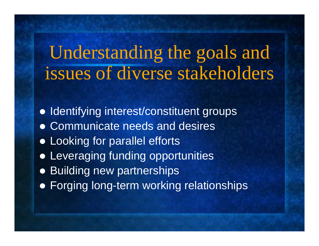Understanding the goals and issues of diverse stakeholders

• Identifying interest/constituent groups • Communicate needs and desires • Looking for parallel efforts • Leveraging funding opportunities • Building new partnerships **• Forging long-term working relationships**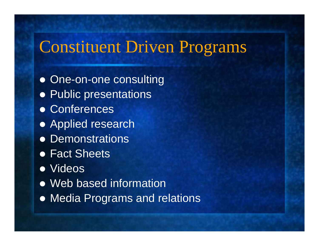## Constituent Driven Programs

• One-on-one consulting • Public presentations **• Conferences** • Applied research • Demonstrations • Fact Sheets • Videos • Web based information • Media Programs and relations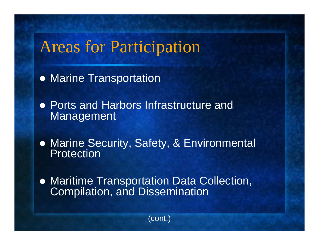# Areas for Participation

• Marine Transportation

• Ports and Harbors Infrastructure and Management

• Marine Security, Safety, & Environmental Protection

• Maritime Transportation Data Collection, Compilation, and Dissemination

(cont.)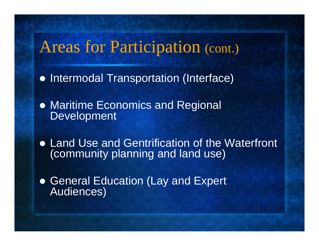## Areas for Participation (cont.)

**• Intermodal Transportation (Interface)** 

**• Maritime Economics and Regional** Development

• Land Use and Gentrification of the Waterfront (community planning and land use)

• General Education (Lay and Expert Audiences)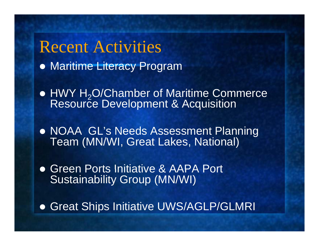Recent Activities **• Maritime Literacy Program** 

• HWY H<sub>2</sub>O/Chamber of Maritime Commerce<br>Resource Development & Acquisition **Resource Development & Acquisition** 

• NOAA GL's Needs Assessment Planning Team (MN/WI, Great Lakes, National)

**• Green Ports Initiative & AAPA Port** ,一个人都是一个人的人,我们也不会不会不会。""我们,我们也不会不会不会不会不会不会不会不会。""我们,我们也不会不会不会不会不会不会不会不会不会。""我们,我 Sustainability Group (MN/WI)

**• Great Ships Initiative UWS/AGLP/GLMRI**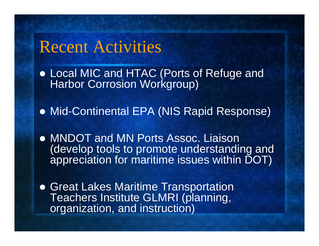### Recent Activities

• Local MIC and HTAC (Ports of Refuge and Harbor Corrosion Workgroup)

• Mid-Continental EPA (NIS Rapid Response)

• MNDOT and MN Ports Assoc. Liaison (develop tools to promote understanding and appreciation for maritime issues within DOT)

**• Great Lakes Maritime Transportation** Teachers Institute GLMRI (planning, organization, and instruction)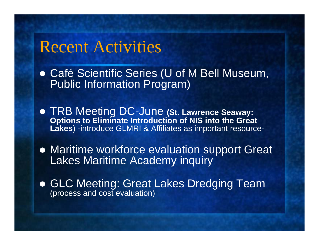### Recent Activities

• Café Scientific Series (U of M Bell Museum, Public Information Program)

• TRB Meeting DC - June **(St. Lawrence Seaway: Options to Eliminate Introduction of NIS into the Great Lakes**) -introduce GLMRI & Affiliates as important resource-

• Maritime workforce evaluation support Great Lakes Maritime Academy inquiry

**• GLC Meeting: Great Lakes Dredging Team** (process and cost evaluation)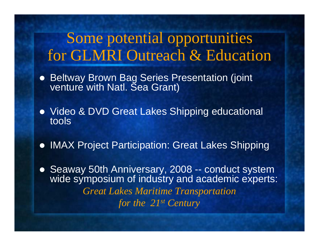### Some potential opportunities for GLMRI Outreach & Education

- **Beltway Brown Bag Series Presentation (joint** venture with Natl. Sea Grant)
- Video & DVD Great Lakes Shipping educational tools
- **IMAX Project Participation: Great Lakes Shipping**

• Seaway 50th Anniversary, 2008 -- conduct system wide symposium of industry and academic experts: *Great Lakes Maritime Transportation f h 21 or the 21st Century*